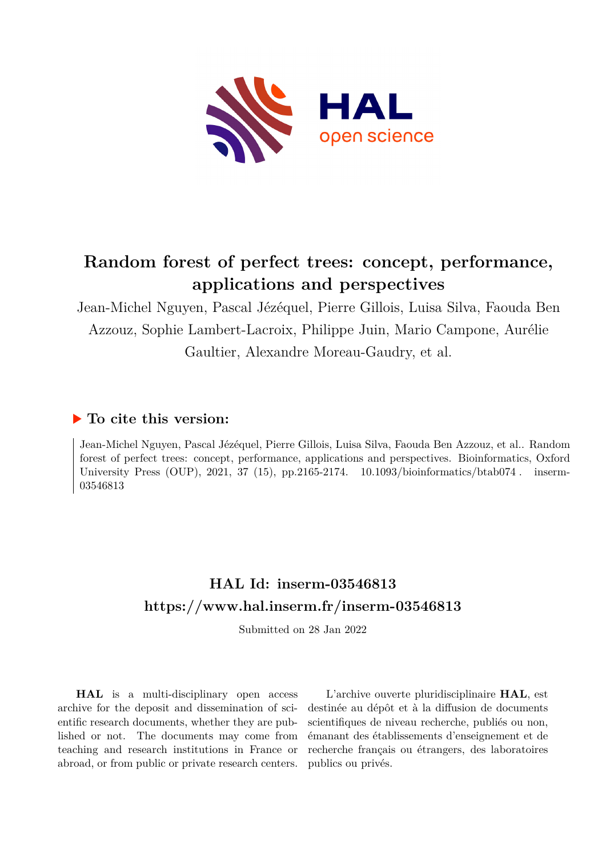

# **Random forest of perfect trees: concept, performance, applications and perspectives**

Jean-Michel Nguyen, Pascal Jézéquel, Pierre Gillois, Luisa Silva, Faouda Ben Azzouz, Sophie Lambert-Lacroix, Philippe Juin, Mario Campone, Aurélie Gaultier, Alexandre Moreau-Gaudry, et al.

## **To cite this version:**

Jean-Michel Nguyen, Pascal Jézéquel, Pierre Gillois, Luisa Silva, Faouda Ben Azzouz, et al.. Random forest of perfect trees: concept, performance, applications and perspectives. Bioinformatics, Oxford University Press (OUP), 2021, 37 (15), pp.2165-2174.  $10.1093/bioinformatics/btab074$ . inserm-03546813

## **HAL Id: inserm-03546813 <https://www.hal.inserm.fr/inserm-03546813>**

Submitted on 28 Jan 2022

**HAL** is a multi-disciplinary open access archive for the deposit and dissemination of scientific research documents, whether they are published or not. The documents may come from teaching and research institutions in France or abroad, or from public or private research centers.

L'archive ouverte pluridisciplinaire **HAL**, est destinée au dépôt et à la diffusion de documents scientifiques de niveau recherche, publiés ou non, émanant des établissements d'enseignement et de recherche français ou étrangers, des laboratoires publics ou privés.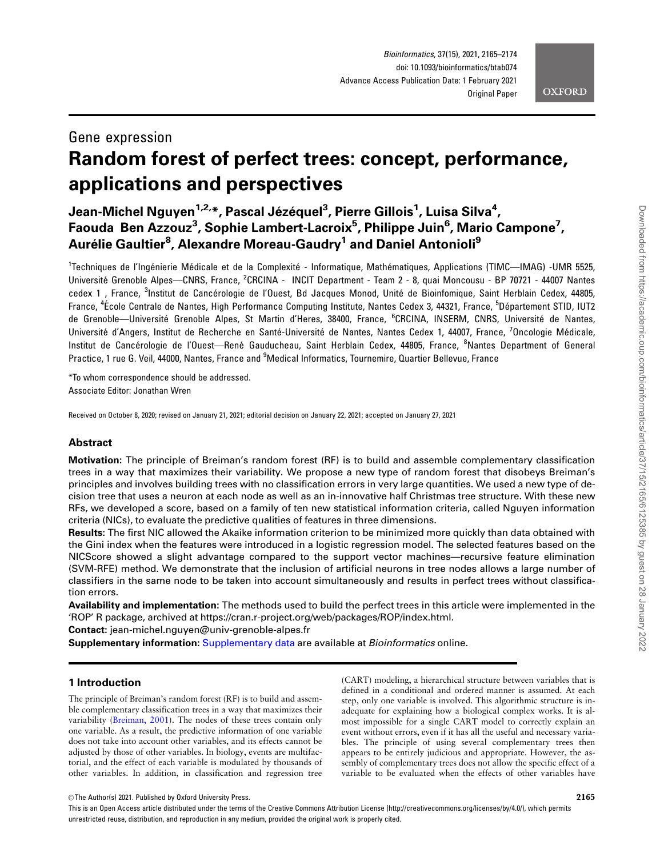## **OXFORD**

## Gene expression Random forest of perfect trees: concept, performance, applications and perspectives

Jean-Michel Nguyen<sup>1,2,</sup>\*, Pascal Jézéquel<sup>3</sup>, Pierre Gillois<sup>1</sup>, Luisa Silva<sup>4</sup>, Faouda Ben Azzouz<sup>3</sup>, Sophie Lambert-Lacroix<sup>5</sup>, Philippe Juin<sup>6</sup>, Mario Campone<sup>7</sup>, Aurélie Gaultier<sup>8</sup>, Alexandre Moreau-Gaudry<sup>1</sup> and Daniel Antonioli<sup>9</sup>

<sup>1</sup>Techniques de l'Ingénierie Médicale et de la Complexité - Informatique, Mathématiques, Applications (TIMC—IMAG) -UMR 5525, Université Grenoble Alpes—CNRS, France, <sup>2</sup>CRCINA - INCIT Department - Team 2 - 8, quai Moncousu - BP 70721 - 44007 Nantes cedex 1, France, <sup>3</sup>Institut de Cancérologie de l'Ouest, Bd Jacques Monod, Unité de Bioinfomique, Saint Herblain Cedex, 44805, France, <sup>4</sup>École Centrale de Nantes, High Performance Computing Institute, Nantes Cedex 3, 44321, France, <sup>5</sup>Département STID, IUT2 de Grenoble—Université Grenoble Alpes, St Martin d'Heres, 38400, France, <sup>6</sup>CRCINA, INSERM, CNRS, Université de Nantes, Université d'Angers, Institut de Recherche en Santé-Université de Nantes, Nantes Cedex 1, 44007, France, <sup>7</sup>Oncologie Médicale, Institut de Cancérologie de l'Ouest—René Gauducheau, Saint Herblain Cedex, 44805, France, <sup>8</sup>Nantes Department of General Practice, 1 rue G. Veil, 44000, Nantes, France and <sup>9</sup>Medical Informatics, Tournemire, Quartier Bellevue, France

\*To whom correspondence should be addressed. Associate Editor: Jonathan Wren

Received on October 8, 2020; revised on January 21, 2021; editorial decision on January 22, 2021; accepted on January 27, 2021

## Abstract

Motivation: The principle of Breiman's random forest (RF) is to build and assemble complementary classification trees in a way that maximizes their variability. We propose a new type of random forest that disobeys Breiman's principles and involves building trees with no classification errors in very large quantities. We used a new type of decision tree that uses a neuron at each node as well as an in-innovative half Christmas tree structure. With these new RFs, we developed a score, based on a family of ten new statistical information criteria, called Nguyen information criteria (NICs), to evaluate the predictive qualities of features in three dimensions.

Results: The first NIC allowed the Akaike information criterion to be minimized more quickly than data obtained with the Gini index when the features were introduced in a logistic regression model. The selected features based on the NICScore showed a slight advantage compared to the support vector machines—recursive feature elimination (SVM-RFE) method. We demonstrate that the inclusion of artificial neurons in tree nodes allows a large number of classifiers in the same node to be taken into account simultaneously and results in perfect trees without classification errors.

Availability and implementation: The methods used to build the perfect trees in this article were implemented in the 'ROP' R package, archived at<https://cran.r-project.org/web/packages/ROP/index.html>.

Contact: jean-michel.nguyen@univ-grenoble-alpes.fr

Supplementary information: [Supplementary data](https://academic.oup.com/bioinformatics/article-lookup/doi/10.1093/bioinformatics/btab074#supplementary-data) are available at Bioinformatics online.

## 1 Introduction

The principle of Breiman's random forest (RF) is to build and assemble complementary classification trees in a way that maximizes their variability (Breiman, 2001). The nodes of these trees contain only one variable. As a result, the predictive information of one variable does not take into account other variables, and its effects cannot be adjusted by those of other variables. In biology, events are multifactorial, and the effect of each variable is modulated by thousands of other variables. In addition, in classification and regression tree (CART) modeling, a hierarchical structure between variables that is defined in a conditional and ordered manner is assumed. At each step, only one variable is involved. This algorithmic structure is inadequate for explaining how a biological complex works. It is almost impossible for a single CART model to correctly explain an event without errors, even if it has all the useful and necessary variables. The principle of using several complementary trees then appears to be entirely judicious and appropriate. However, the assembly of complementary trees does not allow the specific effect of a variable to be evaluated when the effects of other variables have

This is an Open Access article distributed under the terms of the Creative Commons Attribution License (http://creativecommons.org/licenses/by/4.0/), which permits unrestricted reuse, distribution, and reproduction in any medium, provided the original work is properly cited.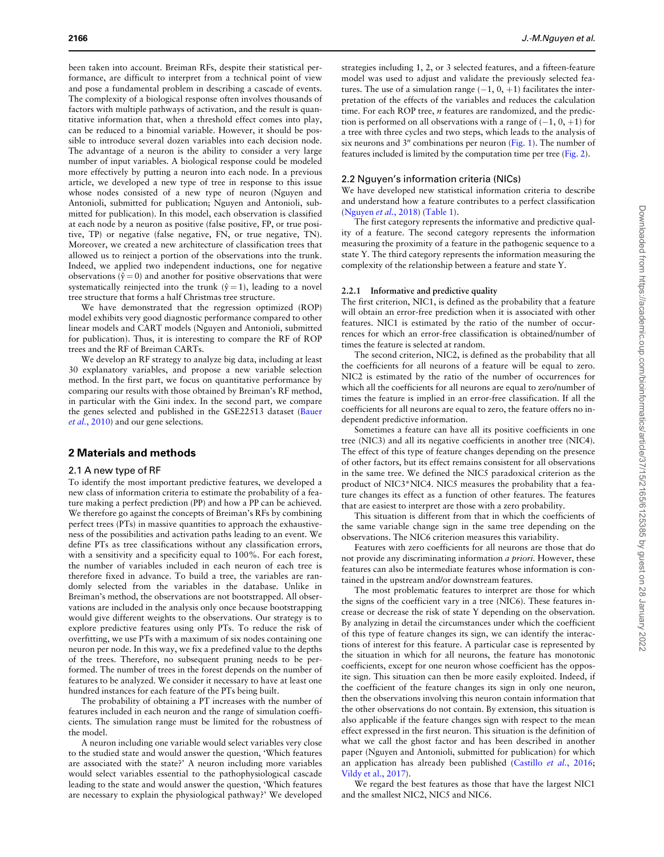been taken into account. Breiman RFs, despite their statistical performance, are difficult to interpret from a technical point of view and pose a fundamental problem in describing a cascade of events. The complexity of a biological response often involves thousands of factors with multiple pathways of activation, and the result is quantitative information that, when a threshold effect comes into play, can be reduced to a binomial variable. However, it should be possible to introduce several dozen variables into each decision node. The advantage of a neuron is the ability to consider a very large number of input variables. A biological response could be modeled more effectively by putting a neuron into each node. In a previous article, we developed a new type of tree in response to this issue whose nodes consisted of a new type of neuron (Nguyen and Antonioli, submitted for publication; Nguyen and Antonioli, submitted for publication). In this model, each observation is classified at each node by a neuron as positive (false positive, FP, or true positive, TP) or negative (false negative, FN, or true negative, TN). Moreover, we created a new architecture of classification trees that allowed us to reinject a portion of the observations into the trunk. Indeed, we applied two independent inductions, one for negative observations ( $\hat{y} = 0$ ) and another for positive observations that were systematically reinjected into the trunk ( $\hat{y} = 1$ ), leading to a novel tree structure that forms a half Christmas tree structure.

We have demonstrated that the regression optimized (ROP) model exhibits very good diagnostic performance compared to other linear models and CART models (Nguyen and Antonioli, submitted for publication). Thus, it is interesting to compare the RF of ROP trees and the RF of Breiman CARTs.

We develop an RF strategy to analyze big data, including at least 30 explanatory variables, and propose a new variable selection method. In the first part, we focus on quantitative performance by comparing our results with those obtained by Breiman's RF method, in particular with the Gini index. In the second part, we compare the genes selected and published in the GSE22513 dataset (Bauer et al., 2010) and our gene selections.

### 2 Materials and methods

#### 2.1 A new type of RF

To identify the most important predictive features, we developed a new class of information criteria to estimate the probability of a feature making a perfect prediction (PP) and how a PP can be achieved. We therefore go against the concepts of Breiman's RFs by combining perfect trees (PTs) in massive quantities to approach the exhaustiveness of the possibilities and activation paths leading to an event. We define PTs as tree classifications without any classification errors, with a sensitivity and a specificity equal to 100%. For each forest, the number of variables included in each neuron of each tree is therefore fixed in advance. To build a tree, the variables are randomly selected from the variables in the database. Unlike in Breiman's method, the observations are not bootstrapped. All observations are included in the analysis only once because bootstrapping would give different weights to the observations. Our strategy is to explore predictive features using only PTs. To reduce the risk of overfitting, we use PTs with a maximum of six nodes containing one neuron per node. In this way, we fix a predefined value to the depths of the trees. Therefore, no subsequent pruning needs to be performed. The number of trees in the forest depends on the number of features to be analyzed. We consider it necessary to have at least one hundred instances for each feature of the PTs being built.

The probability of obtaining a PT increases with the number of features included in each neuron and the range of simulation coefficients. The simulation range must be limited for the robustness of the model.

A neuron including one variable would select variables very close to the studied state and would answer the question, 'Which features are associated with the state?' A neuron including more variables would select variables essential to the pathophysiological cascade leading to the state and would answer the question, 'Which features are necessary to explain the physiological pathway?' We developed

strategies including 1, 2, or 3 selected features, and a fifteen-feature model was used to adjust and validate the previously selected features. The use of a simulation range  $(-1, 0, +1)$  facilitates the interpretation of the effects of the variables and reduces the calculation time. For each ROP tree, *n* features are randomized, and the prediction is performed on all observations with a range of  $(-1, 0, +1)$  for a tree with three cycles and two steps, which leads to the analysis of six neurons and  $3<sup>n</sup>$  combinations per neuron (Fig. 1). The number of features included is limited by the computation time per tree (Fig. 2).

#### 2.2 Nguyen's information criteria (NICs)

We have developed new statistical information criteria to describe and understand how a feature contributes to a perfect classification (Nguyen et al., 2018) (Table 1).

The first category represents the informative and predictive quality of a feature. The second category represents the information measuring the proximity of a feature in the pathogenic sequence to a state Y. The third category represents the information measuring the complexity of the relationship between a feature and state Y.

#### 2.2.1 Informative and predictive quality

The first criterion, NIC1, is defined as the probability that a feature will obtain an error-free prediction when it is associated with other features. NIC1 is estimated by the ratio of the number of occurrences for which an error-free classification is obtained/number of times the feature is selected at random.

The second criterion, NIC2, is defined as the probability that all the coefficients for all neurons of a feature will be equal to zero. NIC2 is estimated by the ratio of the number of occurrences for which all the coefficients for all neurons are equal to zero/number of times the feature is implied in an error-free classification. If all the coefficients for all neurons are equal to zero, the feature offers no independent predictive information.

Sometimes a feature can have all its positive coefficients in one tree (NIC3) and all its negative coefficients in another tree (NIC4). The effect of this type of feature changes depending on the presence of other factors, but its effect remains consistent for all observations in the same tree. We defined the NIC5 paradoxical criterion as the product of NIC3\*NIC4. NIC5 measures the probability that a feature changes its effect as a function of other features. The features that are easiest to interpret are those with a zero probability.

This situation is different from that in which the coefficients of the same variable change sign in the same tree depending on the observations. The NIC6 criterion measures this variability.

Features with zero coefficients for all neurons are those that do not provide any discriminating information a priori. However, these features can also be intermediate features whose information is contained in the upstream and/or downstream features.

The most problematic features to interpret are those for which the signs of the coefficient vary in a tree (NIC6). These features increase or decrease the risk of state Y depending on the observation. By analyzing in detail the circumstances under which the coefficient of this type of feature changes its sign, we can identify the interactions of interest for this feature. A particular case is represented by the situation in which for all neurons, the feature has monotonic coefficients, except for one neuron whose coefficient has the opposite sign. This situation can then be more easily exploited. Indeed, if the coefficient of the feature changes its sign in only one neuron, then the observations involving this neuron contain information that the other observations do not contain. By extension, this situation is also applicable if the feature changes sign with respect to the mean effect expressed in the first neuron. This situation is the definition of what we call the ghost factor and has been described in another paper (Nguyen and Antonioli, submitted for publication) for which an application has already been published (Castillo et al., 2016; Vildy et al., 2017).

We regard the best features as those that have the largest NIC1 and the smallest NIC2, NIC5 and NIC6.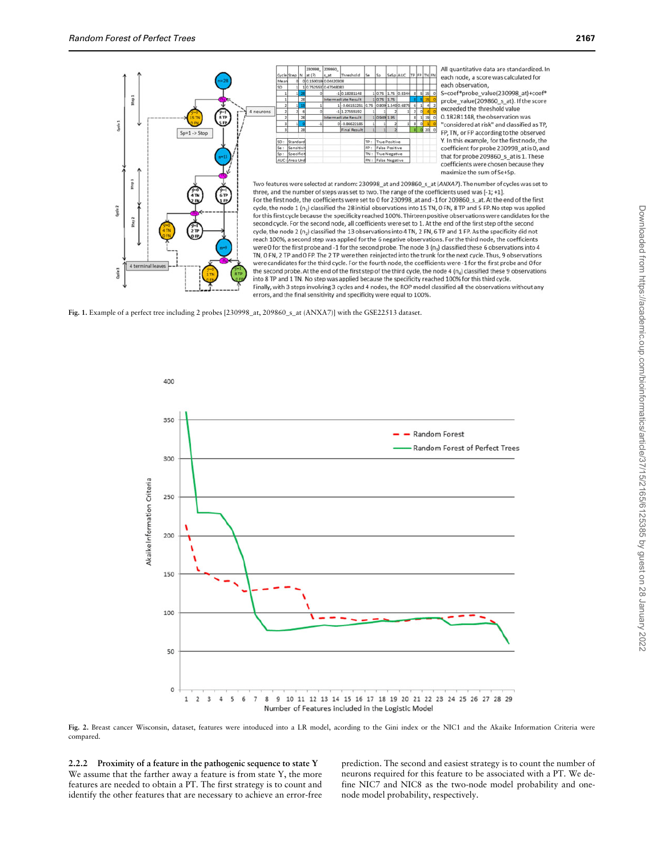Step 1

Step 1

Ē

Quin 1

Oyde2

 $\frac{1}{2}$ 



All quantitative data are standardized. In each node, a score was calculated for each observation, S=coef\*probe\_value(230998\_at)+coef\*<br>probe\_value(209860\_s\_at). If the score exceeded the threshold value 0.18281148, the observation was "considered at risk" and classified as TP, FP. TN, or FP according to the observed Y. In this example, for the first node, the coefficient for probe 230998\_at is 0, and that for probe 209860\_s\_at is 1. These coefficients were chosen because they maximize the sum of Se+Sp.

Two features were selected at random: 230998 at and 209860 s at (ANXA7). The number of cycles was set to three, and the number of steps was set to two. The range of the coefficients used was [-1; +1]. For the first node, the coefficients were set to 0 for 230998\_at and -1 for 209860\_s\_at. At the end of the first cycle, the node 1 (n<sub>1</sub>) classified the 28 initial observations into 15 TN, 0 FN, 8 TP and 5 FP. No step was applied for this first cycle because the specificity reached 100%. Thirteen positive observations were candidates for the second cycle. For the second node, all coefficients were set to 1. At the end of the first step of the second cycle, the node 2 (n<sub>2</sub>) classified the 13 observations into 4 TN, 2 FN, 6 TP and 1 FP. As the specificity did not reach 100%, a second step was applied for the 6 negative observations. For the third node, the coefficients were 0 for the first probe and -1 for the second probe. The node 3 (n<sub>3</sub>) classified these 6 observations into 4 TN, 0 FN, 2 TP and 0 FP. The 2 TP were then reinjected into the trunk for the next cycle. Thus, 9 observations were candidates for the third cycle. For the fourth node, the coefficients were -1 for the first probe and 0 for the second probe. At the end of the first step of the third cycle, the node 4 (n<sub>4</sub>) classified these 9 observations into 8 TP and 1 TN. No step was applied because the specificity reached 100% for this third cycle. Finally, with 3 steps involving 3 cycles and 4 nodes, the ROP model classified all the observations without any errors, and the final sensitivity and specificity were equal to 100%.

Fig. 1. Example of a perfect tree including 2 probes [230998\_at, 209860\_s\_at (ANXA7)] with the GSE22513 dataset.





2.2.2 Proximity of a feature in the pathogenic sequence to state Y We assume that the farther away a feature is from state Y, the more features are needed to obtain a PT. The first strategy is to count and identify the other features that are necessary to achieve an error-free prediction. The second and easiest strategy is to count the number of neurons required for this feature to be associated with a PT. We define NIC7 and NIC8 as the two-node model probability and onenode model probability, respectively.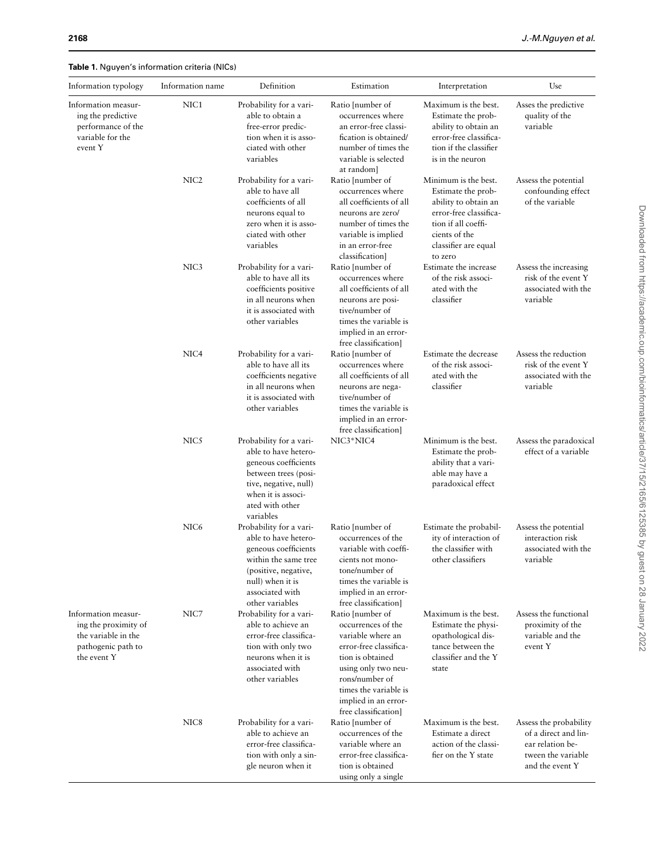Table 1. Nguyen's information criteria (NICs)

| Information typology                                                                                    | Information name | Definition                                                                                                                                                                        | Estimation                                                                                                                                                                                                                  | Interpretation                                                                                                                                               | Use                                                                                                         |
|---------------------------------------------------------------------------------------------------------|------------------|-----------------------------------------------------------------------------------------------------------------------------------------------------------------------------------|-----------------------------------------------------------------------------------------------------------------------------------------------------------------------------------------------------------------------------|--------------------------------------------------------------------------------------------------------------------------------------------------------------|-------------------------------------------------------------------------------------------------------------|
| Information measur-<br>ing the predictive<br>performance of the<br>variable for the<br>event Y          | NIC1             | Probability for a vari-<br>able to obtain a<br>free-error predic-<br>tion when it is asso-<br>ciated with other<br>variables                                                      | Ratio [number of<br>occurrences where<br>an error-free classi-<br>fication is obtained/<br>number of times the<br>variable is selected<br>at random]                                                                        | Maximum is the best.<br>Estimate the prob-<br>ability to obtain an<br>error-free classifica-<br>tion if the classifier<br>is in the neuron                   | Asses the predictive<br>quality of the<br>variable                                                          |
|                                                                                                         | NIC <sub>2</sub> | Probability for a vari-<br>able to have all<br>coefficients of all<br>neurons equal to<br>zero when it is asso-<br>ciated with other<br>variables                                 | Ratio [number of<br>occurrences where<br>all coefficients of all<br>neurons are zero/<br>number of times the<br>variable is implied<br>in an error-free                                                                     | Minimum is the best.<br>Estimate the prob-<br>ability to obtain an<br>error-free classifica-<br>tion if all coeffi-<br>cients of the<br>classifier are equal | Assess the potential<br>confounding effect<br>of the variable                                               |
|                                                                                                         | NIC <sub>3</sub> | Probability for a vari-<br>able to have all its<br>coefficients positive<br>in all neurons when<br>it is associated with<br>other variables                                       | classification]<br>Ratio [number of<br>occurrences where<br>all coefficients of all<br>neurons are posi-<br>tive/number of<br>times the variable is<br>implied in an error-<br>free classification]                         | to zero<br>Estimate the increase<br>of the risk associ-<br>ated with the<br>classifier                                                                       | Assess the increasing<br>risk of the event Y<br>associated with the<br>variable                             |
|                                                                                                         | NIC <sub>4</sub> | Probability for a vari-<br>able to have all its<br>coefficients negative<br>in all neurons when<br>it is associated with<br>other variables                                       | Ratio [number of<br>occurrences where<br>all coefficients of all<br>neurons are nega-<br>tive/number of<br>times the variable is<br>implied in an error-<br>free classification]                                            | Estimate the decrease<br>of the risk associ-<br>ated with the<br>classifier                                                                                  | Assess the reduction<br>risk of the event Y<br>associated with the<br>variable                              |
|                                                                                                         | NIC5             | Probability for a vari-<br>able to have hetero-<br>geneous coefficients<br>between trees (posi-<br>tive, negative, null)<br>when it is associ-<br>ated with other<br>variables    | NIC3*NIC4                                                                                                                                                                                                                   | Minimum is the best.<br>Estimate the prob-<br>ability that a vari-<br>able may have a<br>paradoxical effect                                                  | Assess the paradoxical<br>effect of a variable                                                              |
|                                                                                                         | NIC <sub>6</sub> | Probability for a vari-<br>able to have hetero-<br>geneous coefficients<br>within the same tree<br>(positive, negative,<br>null) when it is<br>associated with<br>other variables | Ratio [number of<br>occurrences of the<br>variable with coeffi-<br>cients not mono-<br>tone/number of<br>times the variable is<br>implied in an error-<br>free classification]                                              | Estimate the probabil-<br>ity of interaction of<br>the classifier with<br>other classifiers                                                                  | Assess the potential<br>interaction risk<br>associated with the<br>variable                                 |
| Information measur-<br>ing the proximity of<br>the variable in the<br>pathogenic path to<br>the event Y | NIC7             | Probability for a vari-<br>able to achieve an<br>error-free classifica-<br>tion with only two<br>neurons when it is<br>associated with<br>other variables                         | Ratio [number of<br>occurrences of the<br>variable where an<br>error-free classifica-<br>tion is obtained<br>using only two neu-<br>rons/number of<br>times the variable is<br>implied in an error-<br>free classification] | Maximum is the best.<br>Estimate the physi-<br>opathological dis-<br>tance between the<br>classifier and the Y<br>state                                      | Assess the functional<br>proximity of the<br>variable and the<br>event Y                                    |
|                                                                                                         | NIC <sub>8</sub> | Probability for a vari-<br>able to achieve an<br>error-free classifica-<br>tion with only a sin-<br>gle neuron when it                                                            | Ratio [number of<br>occurrences of the<br>variable where an<br>error-free classifica-<br>tion is obtained<br>using only a single                                                                                            | Maximum is the best.<br>Estimate a direct<br>action of the classi-<br>fier on the Y state                                                                    | Assess the probability<br>of a direct and lin-<br>ear relation be-<br>tween the variable<br>and the event Y |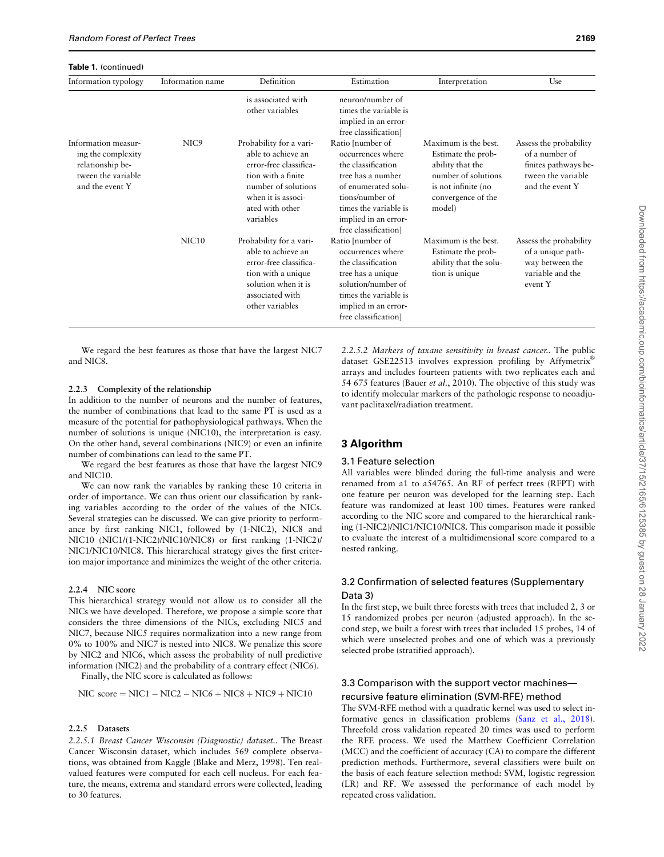Table 1. (continued)

| Information typology                                                                                   | Information name  | Definition                                                                                                                                                                 | Estimation                                                                                                                                                                                          | Interpretation                                                                                                                               | Use                                                                                                       |
|--------------------------------------------------------------------------------------------------------|-------------------|----------------------------------------------------------------------------------------------------------------------------------------------------------------------------|-----------------------------------------------------------------------------------------------------------------------------------------------------------------------------------------------------|----------------------------------------------------------------------------------------------------------------------------------------------|-----------------------------------------------------------------------------------------------------------|
|                                                                                                        |                   | is associated with<br>other variables                                                                                                                                      | neuron/number of<br>times the variable is<br>implied in an error-<br>free classification]                                                                                                           |                                                                                                                                              |                                                                                                           |
| Information measur-<br>ing the complexity<br>relationship be-<br>tween the variable<br>and the event Y | NIC <sub>9</sub>  | Probability for a vari-<br>able to achieve an<br>error-free classifica-<br>tion with a finite<br>number of solutions<br>when it is associ-<br>ated with other<br>variables | Ratio [number of<br>occurrences where<br>the classification<br>tree has a number<br>of enumerated solu-<br>tions/number of<br>times the variable is<br>implied in an error-<br>free classification] | Maximum is the best.<br>Estimate the prob-<br>ability that the<br>number of solutions<br>is not infinite (no<br>convergence of the<br>model) | Assess the probability<br>of a number of<br>finites pathways be-<br>tween the variable<br>and the event Y |
|                                                                                                        | NIC <sub>10</sub> | Probability for a vari-<br>able to achieve an<br>error-free classifica-<br>tion with a unique<br>solution when it is<br>associated with<br>other variables                 | Ratio [number of<br>occurrences where<br>the classification<br>tree has a unique<br>solution/number of<br>times the variable is<br>implied in an error-<br>free classification]                     | Maximum is the best.<br>Estimate the prob-<br>ability that the solu-<br>tion is unique                                                       | Assess the probability<br>of a unique path-<br>way between the<br>variable and the<br>event Y             |

We regard the best features as those that have the largest NIC7 and NIC8.

### 2.2.3 Complexity of the relationship

In addition to the number of neurons and the number of features, the number of combinations that lead to the same PT is used as a measure of the potential for pathophysiological pathways. When the number of solutions is unique (NIC10), the interpretation is easy. On the other hand, several combinations (NIC9) or even an infinite number of combinations can lead to the same PT.

We regard the best features as those that have the largest NIC9 and NIC10.

We can now rank the variables by ranking these 10 criteria in order of importance. We can thus orient our classification by ranking variables according to the order of the values of the NICs. Several strategies can be discussed. We can give priority to performance by first ranking NIC1, followed by (1-NIC2), NIC8 and NIC10 (NIC1/(1-NIC2)/NIC10/NIC8) or first ranking (1-NIC2)/ NIC1/NIC10/NIC8. This hierarchical strategy gives the first criterion major importance and minimizes the weight of the other criteria.

### 2.2.4 NIC score

This hierarchical strategy would not allow us to consider all the NICs we have developed. Therefore, we propose a simple score that considers the three dimensions of the NICs, excluding NIC5 and NIC7, because NIC5 requires normalization into a new range from 0% to 100% and NIC7 is nested into NIC8. We penalize this score by NIC2 and NIC6, which assess the probability of null predictive information (NIC2) and the probability of a contrary effect (NIC6).

Finally, the NIC score is calculated as follows:

$$
NIC score = NIC1 - NIC2 - NIC6 + NIC8 + NIC9 + NIC10
$$

### 2.2.5 Datasets

2.2.5.1 Breast Cancer Wisconsin (Diagnostic) dataset.. The Breast Cancer Wisconsin dataset, which includes 569 complete observations, was obtained from Kaggle (Blake and Merz, 1998). Ten realvalued features were computed for each cell nucleus. For each feature, the means, extrema and standard errors were collected, leading to 30 features.

2.2.5.2 Markers of taxane sensitivity in breast cancer.. The public dataset GSE22513 involves expression profiling by Affymetrix® arrays and includes fourteen patients with two replicates each and 54 675 features (Bauer et al., 2010). The objective of this study was to identify molecular markers of the pathologic response to neoadjuvant paclitaxel/radiation treatment.

## 3 Algorithm

#### 3.1 Feature selection

All variables were blinded during the full-time analysis and were renamed from a1 to a54765. An RF of perfect trees (RFPT) with one feature per neuron was developed for the learning step. Each feature was randomized at least 100 times. Features were ranked according to the NIC score and compared to the hierarchical ranking (1-NIC2)/NIC1/NIC10/NIC8. This comparison made it possible to evaluate the interest of a multidimensional score compared to a nested ranking.

## 3.2 Confirmation of selected features (Supplementary Data 3)

In the first step, we built three forests with trees that included 2, 3 or 15 randomized probes per neuron (adjusted approach). In the second step, we built a forest with trees that included 15 probes, 14 of which were unselected probes and one of which was a previously selected probe (stratified approach).

## 3.3 Comparison with the support vector machines recursive feature elimination (SVM-RFE) method

The SVM-RFE method with a quadratic kernel was used to select informative genes in classification problems (Sanz et al., 2018). Threefold cross validation repeated 20 times was used to perform the RFE process. We used the Matthew Coefficient Correlation (MCC) and the coefficient of accuracy (CA) to compare the different prediction methods. Furthermore, several classifiers were built on the basis of each feature selection method: SVM, logistic regression (LR) and RF. We assessed the performance of each model by repeated cross validation.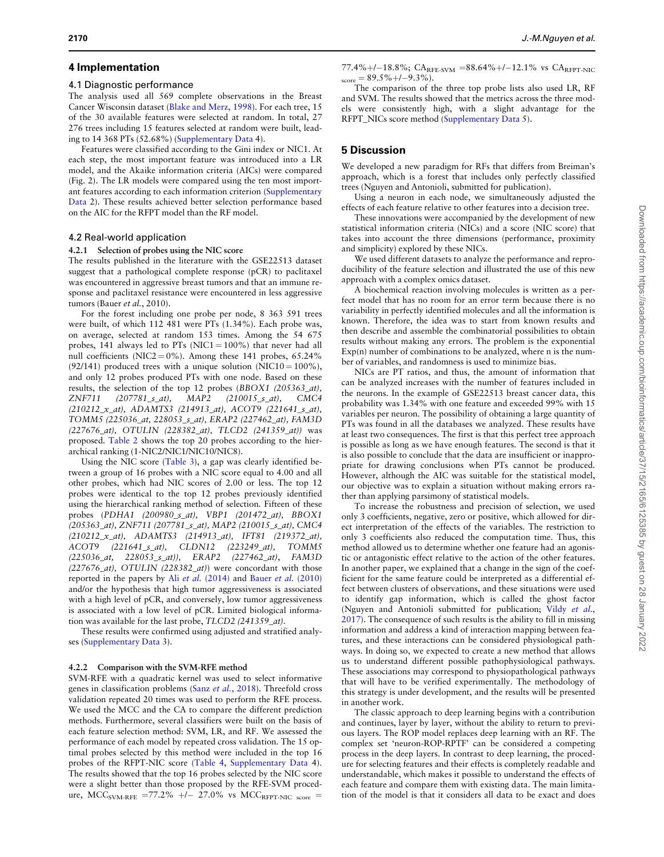## 4 Implementation

#### 4.1 Diagnostic performance

The analysis used all 569 complete observations in the Breast Cancer Wisconsin dataset (Blake and Merz, 1998). For each tree, 15 of the 30 available features were selected at random. In total, 27 276 trees including 15 features selected at random were built, leading to 14 368 PTs (52.68%) [\(Supplementary Data](https://academic.oup.com/bioinformatics/article-lookup/doi/10.1093/bioinformatics/btab074#supplementary-data) 4).

Features were classified according to the Gini index or NIC1. At each step, the most important feature was introduced into a LR model, and the Akaike information criteria (AICs) were compared (Fig. 2). The LR models were compared using the ten most important features according to each information criterion ([Supplementary](https://academic.oup.com/bioinformatics/article-lookup/doi/10.1093/bioinformatics/btab074#supplementary-data) [Data](https://academic.oup.com/bioinformatics/article-lookup/doi/10.1093/bioinformatics/btab074#supplementary-data) 2). These results achieved better selection performance based on the AIC for the RFPT model than the RF model.

#### 4.2 Real-world application

#### 4.2.1 Selection of probes using the NIC score

The results published in the literature with the GSE22513 dataset suggest that a pathological complete response (pCR) to paclitaxel was encountered in aggressive breast tumors and that an immune response and paclitaxel resistance were encountered in less aggressive tumors (Bauer et al., 2010).

For the forest including one probe per node, 8 363 591 trees were built, of which 112 481 were PTs (1.34%). Each probe was, on average, selected at random 153 times. Among the 54 675 probes, 141 always led to PTs (NIC1 =  $100\%$ ) that never had all null coefficients (NIC2 =  $0\%$ ). Among these 141 probes, 65.24% (92/141) produced trees with a unique solution (NIC10 =  $100\%$ ), and only 12 probes produced PTs with one node. Based on these results, the selection of the top 12 probes (BBOX1 (205363\_at), ZNF711 (207781\_s\_at), MAP2 (210015\_s\_at), CMC4 (210212\_x\_at), ADAMTS3 (214913\_at), ACOT9 (221641\_s\_at), TOMM5 (225036\_at, 228053\_s\_at), ERAP2 (227462\_at), FAM3D (227676\_at), OTULIN (228382\_at), TLCD2 (241359\_at)) was proposed. Table 2 shows the top 20 probes according to the hierarchical ranking (1-NIC2/NIC1/NIC10/NIC8).

Using the NIC score (Table 3), a gap was clearly identified between a group of 16 probes with a NIC score equal to 4.00 and all other probes, which had NIC scores of 2.00 or less. The top 12 probes were identical to the top 12 probes previously identified using the hierarchical ranking method of selection. Fifteen of these probes (PDHA1 (200980\_s\_at), VBP1 (201472\_at), BBOX1 (205363\_at), ZNF711 (207781\_s\_at), MAP2 (210015\_s\_at), CMC4 (210212\_x\_at), ADAMTS3 (214913\_at), IFT81 (219372\_at), ACOT9 (221641\_s\_at), CLDN12 (223249\_at), TOMM5 (225036\_at, 228053\_s\_at)), ERAP2 (227462\_at), FAM3D (227676\_at), OTULIN (228382\_at)) were concordant with those reported in the papers by Ali et al. (2014) and Bauer et al. (2010) and/or the hypothesis that high tumor aggressiveness is associated with a high level of pCR, and conversely, low tumor aggressiveness is associated with a low level of pCR. Limited biological information was available for the last probe, TLCD2 (241359\_at).

These results were confirmed using adjusted and stratified analyses [\(Supplementary Data](https://academic.oup.com/bioinformatics/article-lookup/doi/10.1093/bioinformatics/btab074#supplementary-data) 3).

#### 4.2.2 Comparison with the SVM-RFE method

SVM-RFE with a quadratic kernel was used to select informative genes in classification problems (Sanz et al., 2018). Threefold cross validation repeated 20 times was used to perform the RFE process. We used the MCC and the CA to compare the different prediction methods. Furthermore, several classifiers were built on the basis of each feature selection method: SVM, LR, and RF. We assessed the performance of each model by repeated cross validation. The 15 optimal probes selected by this method were included in the top 16 probes of the RFPT-NIC score (Table 4, [Supplementary Data](https://academic.oup.com/bioinformatics/article-lookup/doi/10.1093/bioinformatics/btab074#supplementary-data) 4). The results showed that the top 16 probes selected by the NIC score were a slight better than those proposed by the RFE-SVM procedure, MCC<sub>SVM-RFE</sub> =77.2% +/- 27.0% vs MCC<sub>RFPT-NIC</sub> score =

77.4%+/-18.8%;  $CA_{RFE-SVM} = 88.64\% + (-12.1\% \text{ vs } CA_{RFFT-NIC})$  $_{\text{score}} = 89.5\% + (-9.3\%).$ 

The comparison of the three top probe lists also used LR, RF and SVM. The results showed that the metrics across the three models were consistently high, with a slight advantage for the RFPT\_NICs score method ([Supplementary Data](https://academic.oup.com/bioinformatics/article-lookup/doi/10.1093/bioinformatics/btab074#supplementary-data) 5).

## 5 Discussion

We developed a new paradigm for RFs that differs from Breiman's approach, which is a forest that includes only perfectly classified trees (Nguyen and Antonioli, submitted for publication).

Using a neuron in each node, we simultaneously adjusted the effects of each feature relative to other features into a decision tree.

These innovations were accompanied by the development of new statistical information criteria (NICs) and a score (NIC score) that takes into account the three dimensions (performance, proximity and simplicity) explored by these NICs.

We used different datasets to analyze the performance and reproducibility of the feature selection and illustrated the use of this new approach with a complex omics dataset.

A biochemical reaction involving molecules is written as a perfect model that has no room for an error term because there is no variability in perfectly identified molecules and all the information is known. Therefore, the idea was to start from known results and then describe and assemble the combinatorial possibilities to obtain results without making any errors. The problem is the exponential  $Exp(n)$  number of combinations to be analyzed, where n is the number of variables, and randomness is used to minimize bias.

NICs are PT ratios, and thus, the amount of information that can be analyzed increases with the number of features included in the neurons. In the example of GSE22513 breast cancer data, this probability was 1.34% with one feature and exceeded 99% with 15 variables per neuron. The possibility of obtaining a large quantity of PTs was found in all the databases we analyzed. These results have at least two consequences. The first is that this perfect tree approach is possible as long as we have enough features. The second is that it is also possible to conclude that the data are insufficient or inappropriate for drawing conclusions when PTs cannot be produced. However, although the AIC was suitable for the statistical model, our objective was to explain a situation without making errors rather than applying parsimony of statistical models.

To increase the robustness and precision of selection, we used only 3 coefficients, negative, zero or positive, which allowed for direct interpretation of the effects of the variables. The restriction to only 3 coefficients also reduced the computation time. Thus, this method allowed us to determine whether one feature had an agonistic or antagonistic effect relative to the action of the other features. In another paper, we explained that a change in the sign of the coefficient for the same feature could be interpreted as a differential effect between clusters of observations, and these situations were used to identify gap information, which is called the ghost factor (Nguyen and Antonioli submitted for publication; Vildy et al., 2017). The consequence of such results is the ability to fill in missing information and address a kind of interaction mapping between features, and these interactions can be considered physiological pathways. In doing so, we expected to create a new method that allows us to understand different possible pathophysiological pathways. These associations may correspond to physiopathological pathways that will have to be verified experimentally. The methodology of this strategy is under development, and the results will be presented in another work.

The classic approach to deep learning begins with a contribution and continues, layer by layer, without the ability to return to previous layers. The ROP model replaces deep learning with an RF. The complex set 'neuron-ROP-RPTF' can be considered a competing process in the deep layers. In contrast to deep learning, the procedure for selecting features and their effects is completely readable and understandable, which makes it possible to understand the effects of each feature and compare them with existing data. The main limitation of the model is that it considers all data to be exact and does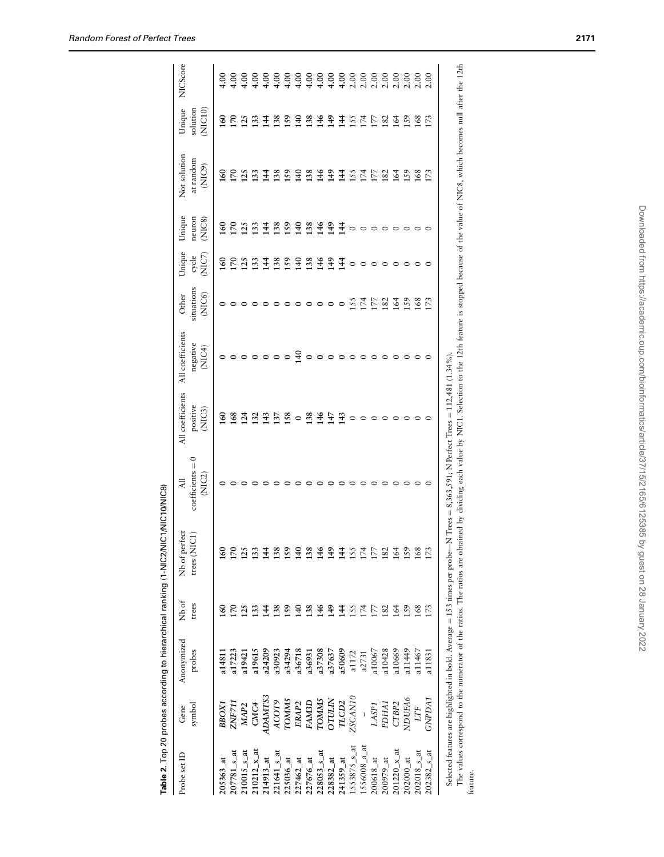|                            |                   | Table 2. Top 20 probes according to hierarchical ranking (1-NIC2/NI |                |                               | IC1/NIC10/NIC8)                                                                                                                  |                                        |                                        |                               |                           |                            |                                     |                              |                 |
|----------------------------|-------------------|---------------------------------------------------------------------|----------------|-------------------------------|----------------------------------------------------------------------------------------------------------------------------------|----------------------------------------|----------------------------------------|-------------------------------|---------------------------|----------------------------|-------------------------------------|------------------------------|-----------------|
| Probe set ID               | symbol<br>Gene    | Anonymized<br>probes                                                | Nb of<br>trees | Nb of perfect<br>trees (NIC1) | $coefficients = 0$<br>(NIC2)<br>$\overline{a}$                                                                                   | All coefficients<br>positive<br>(NIC3) | All coefficients<br>negative<br>(NIC4) | situations<br>(NIC6)<br>Other | Unique<br>(NIC7)<br>cycle | Unique<br>neuron<br>(MIC8) | Not solution<br>at random<br>(NIC9) | Unique<br>solution<br>(NC10) | <b>NICScore</b> |
|                            |                   |                                                                     |                |                               |                                                                                                                                  |                                        |                                        |                               |                           |                            |                                     |                              |                 |
| $205363$ _at               | ввохі             | a14811                                                              | ଌ              | 160                           |                                                                                                                                  | $\frac{60}{2}$                         |                                        |                               | <b>SO</b>                 | 160                        | $\frac{60}{2}$                      | $\frac{60}{2}$               | $^{4.00}$       |
| $207781$ <sub>-S</sub> at  | ZNF711            | a17223                                                              | 5              | $\overline{0}$                |                                                                                                                                  | 168                                    |                                        |                               | $\overline{5}$            | $\overline{5}$             | 170                                 | $\frac{170}{25}$             | $^{00.1}$       |
| $210015$ <sub>-S</sub> at  | MAP <sub>2</sub>  | a19421                                                              | 125            | 125                           |                                                                                                                                  | 124                                    |                                        |                               | 125                       | 125                        | 125                                 |                              |                 |
| $210212_x$ _at             | CMC <sub>4</sub>  | a19615                                                              | 133            | 133                           |                                                                                                                                  | 132                                    |                                        |                               | 133                       | 133                        | 133                                 | 133                          |                 |
| $214913$ <sub>-</sub> at   | ADAMTS3           | a24209                                                              | 144            | $\frac{44}{1}$                |                                                                                                                                  | 143                                    |                                        |                               | $\frac{4}{4}$             | 144                        | $\frac{44}{1}$                      | 144                          |                 |
| $221641_{-5}$ _at          | ACOT9             | a30923                                                              | 138            | 138                           |                                                                                                                                  | 137                                    |                                        |                               | 138<br>159                | 138                        | 138                                 | 138<br>159                   |                 |
| $225036$ _at               | <b>TOMMS</b>      | a34294                                                              | 159            | 159                           |                                                                                                                                  | 158                                    |                                        |                               |                           | 159                        | 59                                  |                              |                 |
| $227462$ _at               | ERAP <sub>2</sub> | a36718                                                              | $\frac{1}{4}$  | 140                           |                                                                                                                                  | $\circ$                                | $\frac{6}{3}$                          |                               | 140                       | 140                        | $\frac{140}{1}$                     | 140                          |                 |
| $227676$ _at               | FAM3D             | a36931                                                              | 138            | 138                           |                                                                                                                                  | 138                                    |                                        |                               |                           | 138                        | 138                                 |                              |                 |
| $228053$ <sub>_S_at</sub>  | <b>TOMMS</b>      | a37308                                                              | 146            | 146                           |                                                                                                                                  | 146                                    |                                        |                               | 3349                      | 146                        | 146                                 | 138<br>146                   |                 |
| $228382$ _at               | <b>OTULIN</b>     | a37637                                                              | 149            | 149                           |                                                                                                                                  | 147                                    |                                        |                               |                           | $\frac{3}{4}$              | 149                                 | 149                          |                 |
| $241359$ _at               | TLCD2             | a50609                                                              | 144            | 144                           |                                                                                                                                  | $\frac{43}{2}$                         |                                        | $\circ$                       | $\overline{14}$           | $\frac{44}{3}$             | 144                                 | 144                          |                 |
| $1553875$ <sub>-S</sub> at | ZSCAN10           | a1172                                                               | 155            | 155                           |                                                                                                                                  |                                        |                                        | 155                           | $\circ$                   |                            | 155                                 | 155                          |                 |
| $1556008_{-}a_{-}at$       |                   | a2731                                                               | 174            | 174                           |                                                                                                                                  |                                        |                                        | 174                           | $\circ$                   | $\circ$                    | 174                                 | 174                          |                 |
| $200618$ <sub>-at</sub>    | LASP1             | a10067                                                              | 177            | 177                           |                                                                                                                                  |                                        |                                        | LZ                            | $\circ$                   |                            | 177                                 | 177                          |                 |
| $200979$ _at               | PDHA1             | a10428                                                              | 182            | 182                           |                                                                                                                                  |                                        |                                        | 182                           | $\circ$                   |                            | 182                                 | 182                          |                 |
| $201220_{X}$ at            | CTBP <sub>2</sub> | a10669                                                              | 164            | 164                           |                                                                                                                                  |                                        |                                        | 164                           | $\circ$                   |                            | 164                                 | 164                          |                 |
| $202000$ _at               | NDUFA6            | a11449                                                              | 159            | 159                           |                                                                                                                                  |                                        |                                        | 159                           | $\circ$                   |                            | 159                                 | 159                          |                 |
| $202018$ <sub>-S</sub> at  | <b>LTF</b>        | a11467                                                              | 168            | 168                           |                                                                                                                                  |                                        |                                        | 168                           |                           |                            | 168                                 | 168                          | 2.00            |
| $202382$ <sub>-S</sub> _at | <b>GNPDA1</b>     | a11831                                                              | 173            | 173                           |                                                                                                                                  |                                        |                                        | 173                           |                           |                            | 173                                 | 173                          | 2.00            |
|                            |                   |                                                                     |                |                               | Selected features are highlighted in bold. Average = 153 times per probe—N Trees = 8,363,591; N Perfect Trees = 112,481 (1.34%). |                                        |                                        |                               |                           |                            |                                     |                              |                 |

| ?. Top 20 probes according to hierarchical ranking (1-NIC1/NIC10/NIC8) |  |
|------------------------------------------------------------------------|--|
|                                                                        |  |
|                                                                        |  |
|                                                                        |  |
|                                                                        |  |
|                                                                        |  |
| blought blue blue                                                      |  |
|                                                                        |  |
|                                                                        |  |
|                                                                        |  |
|                                                                        |  |
|                                                                        |  |
|                                                                        |  |
|                                                                        |  |
|                                                                        |  |
|                                                                        |  |
|                                                                        |  |
|                                                                        |  |
|                                                                        |  |
|                                                                        |  |
|                                                                        |  |
| りりこう オフェンス                                                             |  |
|                                                                        |  |
|                                                                        |  |
|                                                                        |  |
|                                                                        |  |

The values correspond to the numerator of the ratios. The ratios are obtained by dividing each value by NIC1. Selection to the 12th feature is stopped because of the value of NIC8, which becomes null after the 12th The values correspond to the numerator of the ratios. The ratios are obtained by dividing each value by NIC1. Selection to the 12th feature is stopped because of the value of NIC8, which becomes null after the 12th feature.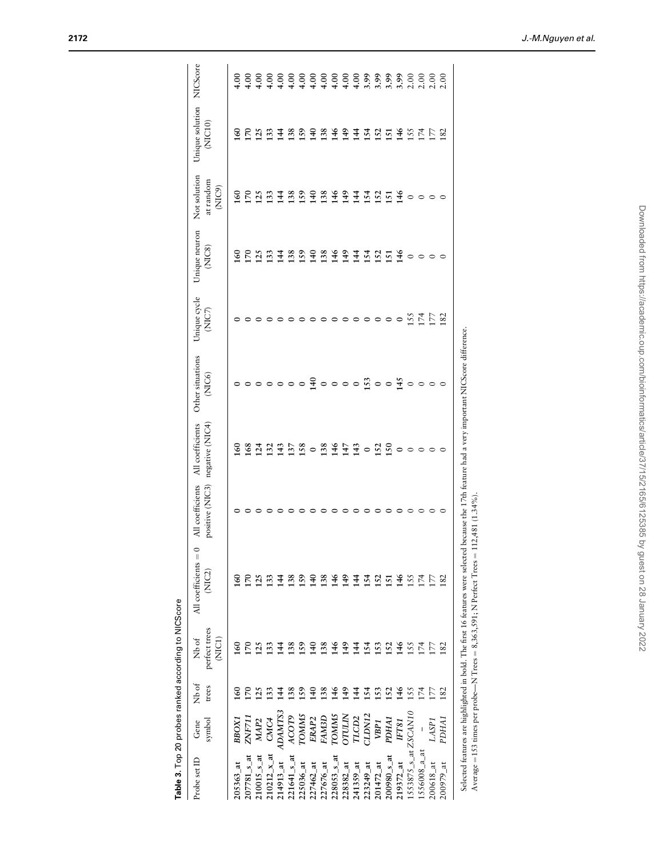Table 3. Top 20 probes ranked according to NICScore

Table 3. Top 20 probes ranked according to NICScore

| ļ<br>Í<br>l<br>l<br>ļ<br>$\overline{\phantom{a}}$<br>ļ<br>i | i<br>$\parallel$<br>i<br>I<br>d<br>l<br>١<br>$\mathsf{I}$<br>I |
|-------------------------------------------------------------|----------------------------------------------------------------|
| ł<br>ł<br>j<br>j<br>j<br>d<br>ł<br>l                        | ξ<br>Í<br>ì<br>rage $=$ $\Delta$<br>d                          |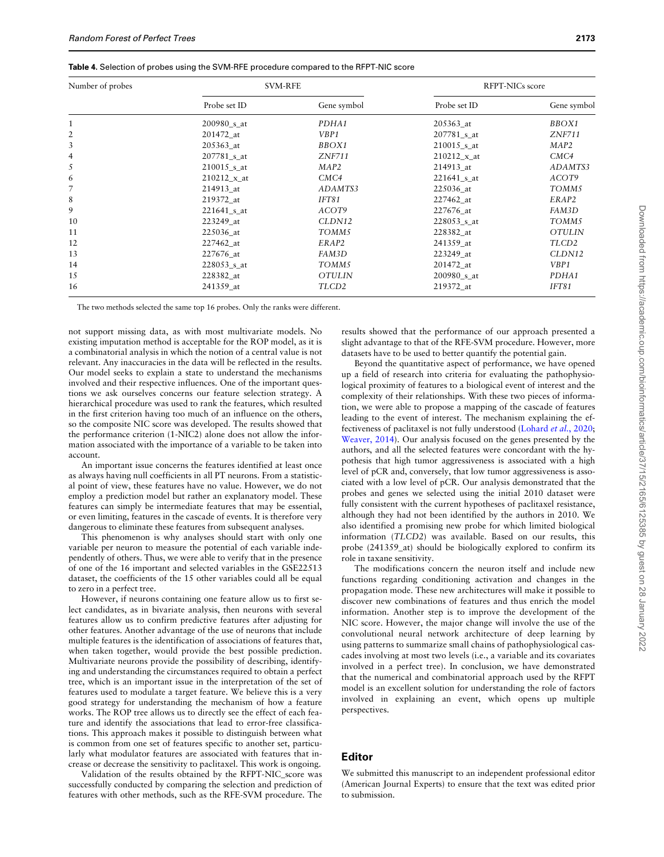| Table 4. Selection of probes using the SVM-RFE procedure compared to the RFPT-NIC score |  |  |  |  |  |  |  |
|-----------------------------------------------------------------------------------------|--|--|--|--|--|--|--|
|-----------------------------------------------------------------------------------------|--|--|--|--|--|--|--|

| Number of probes |                  | <b>SVM-RFE</b>    |                            | RFPT-NICs score  |
|------------------|------------------|-------------------|----------------------------|------------------|
|                  | Probe set ID     | Gene symbol       | Probe set ID               | Gene symbol      |
|                  | 200980 s at      | PDHA1             | 205363 at                  | BBOX1            |
| 2                | 201472_at        | VBP1              | $207781$ _s_at             | <b>ZNF711</b>    |
| 3                | 205363 at        | BBOX1             | $210015$ <sub>s</sub> _at  | MAP <sub>2</sub> |
| 4                | $207781$ _s_at   | <b>ZNF711</b>     | $210212 \times at$         | CMC4             |
| 5                | $210015$ _s_at   | MAP <sub>2</sub>  | 214913 at                  | ADAMTS3          |
| 6                | $210212_x$ _x_at | CMC4              | $221641$ _s_at             | ACOT9            |
| 7                | 214913 at        | ADAMTS3           | 225036_at                  | TOMM5            |
| 8                | 219372 at        | IFT81             | 227462 at                  | ERAP2            |
| 9                | $221641$ _s_at   | ACOT9             | 227676_at                  | FAM3D            |
| 10               | 223249 at        | CLDN12            | $228053$ <sub>-S</sub> _at | TOMM5            |
| 11               | 225036_at        | TOMM5             | 228382_at                  | <b>OTULIN</b>    |
| 12               | 227462_at        | ERAP2             | 241359 at                  | TLCD2            |
| 13               | 227676 at        | FAM3D             | 223249 at                  | CLDN12           |
| 14               | 228053 s at      | TOMM5             | 201472 at                  | VBP1             |
| 15               | 228382_at        | <b>OTULIN</b>     | $200980$ _s_at             | PDHA1            |
| 16               | 241359_at        | TLCD <sub>2</sub> | 219372 at                  | <b>IFT81</b>     |

The two methods selected the same top 16 probes. Only the ranks were different.

not support missing data, as with most multivariate models. No existing imputation method is acceptable for the ROP model, as it is a combinatorial analysis in which the notion of a central value is not relevant. Any inaccuracies in the data will be reflected in the results. Our model seeks to explain a state to understand the mechanisms involved and their respective influences. One of the important questions we ask ourselves concerns our feature selection strategy. A hierarchical procedure was used to rank the features, which resulted in the first criterion having too much of an influence on the others, so the composite NIC score was developed. The results showed that the performance criterion (1-NIC2) alone does not allow the information associated with the importance of a variable to be taken into account.

An important issue concerns the features identified at least once as always having null coefficients in all PT neurons. From a statistical point of view, these features have no value. However, we do not employ a prediction model but rather an explanatory model. These features can simply be intermediate features that may be essential, or even limiting, features in the cascade of events. It is therefore very dangerous to eliminate these features from subsequent analyses.

This phenomenon is why analyses should start with only one variable per neuron to measure the potential of each variable independently of others. Thus, we were able to verify that in the presence of one of the 16 important and selected variables in the GSE22513 dataset, the coefficients of the 15 other variables could all be equal to zero in a perfect tree.

However, if neurons containing one feature allow us to first select candidates, as in bivariate analysis, then neurons with several features allow us to confirm predictive features after adjusting for other features. Another advantage of the use of neurons that include multiple features is the identification of associations of features that, when taken together, would provide the best possible prediction. Multivariate neurons provide the possibility of describing, identifying and understanding the circumstances required to obtain a perfect tree, which is an important issue in the interpretation of the set of features used to modulate a target feature. We believe this is a very good strategy for understanding the mechanism of how a feature works. The ROP tree allows us to directly see the effect of each feature and identify the associations that lead to error-free classifications. This approach makes it possible to distinguish between what is common from one set of features specific to another set, particularly what modulator features are associated with features that increase or decrease the sensitivity to paclitaxel. This work is ongoing.

Validation of the results obtained by the RFPT-NIC\_score was successfully conducted by comparing the selection and prediction of features with other methods, such as the RFE-SVM procedure. The results showed that the performance of our approach presented a slight advantage to that of the RFE-SVM procedure. However, more datasets have to be used to better quantify the potential gain.

Beyond the quantitative aspect of performance, we have opened up a field of research into criteria for evaluating the pathophysiological proximity of features to a biological event of interest and the complexity of their relationships. With these two pieces of information, we were able to propose a mapping of the cascade of features leading to the event of interest. The mechanism explaining the effectiveness of paclitaxel is not fully understood (Lohard et al., 2020; Weaver, 2014). Our analysis focused on the genes presented by the authors, and all the selected features were concordant with the hypothesis that high tumor aggressiveness is associated with a high level of pCR and, conversely, that low tumor aggressiveness is associated with a low level of pCR. Our analysis demonstrated that the probes and genes we selected using the initial 2010 dataset were fully consistent with the current hypotheses of paclitaxel resistance, although they had not been identified by the authors in 2010. We also identified a promising new probe for which limited biological information (TLCD2) was available. Based on our results, this probe (241359\_at) should be biologically explored to confirm its role in taxane sensitivity.

The modifications concern the neuron itself and include new functions regarding conditioning activation and changes in the propagation mode. These new architectures will make it possible to discover new combinations of features and thus enrich the model information. Another step is to improve the development of the NIC score. However, the major change will involve the use of the convolutional neural network architecture of deep learning by using patterns to summarize small chains of pathophysiological cascades involving at most two levels (i.e., a variable and its covariates involved in a perfect tree). In conclusion, we have demonstrated that the numerical and combinatorial approach used by the RFPT model is an excellent solution for understanding the role of factors involved in explaining an event, which opens up multiple perspectives.

## Editor

We submitted this manuscript to an independent professional editor (American Journal Experts) to ensure that the text was edited prior to submission.